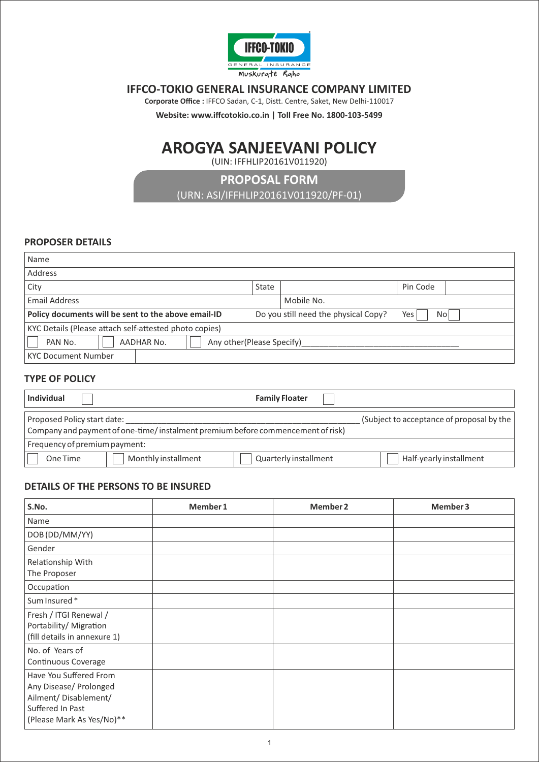

# **IFFCO-TOKIO GENERAL INSURANCE COMPANY LIMITED**

Corporate Office : IFFCO Sadan, C-1, Distt. Centre, Saket, New Delhi-110017

**Website: www.iffcotokio.co.in | Toll Free No. 1800-103-5499** 

# **AROGYA SANJEEVANI POLICY**

(UIN: IFFHLIP20161V011920)

**PROPOSAL FORM**  (URN: ASI/IFFHLIP20161V011920/PF-01)

## **PROPOSER DETAILS**

| Name                                                                                                       |       |            |          |  |
|------------------------------------------------------------------------------------------------------------|-------|------------|----------|--|
| Address                                                                                                    |       |            |          |  |
| City                                                                                                       | State |            | Pin Code |  |
| <b>Email Address</b>                                                                                       |       | Mobile No. |          |  |
| Do you still need the physical Copy?<br>Policy documents will be sent to the above email-ID<br>Yes<br>No l |       |            |          |  |
| KYC Details (Please attach self-attested photo copies)                                                     |       |            |          |  |
| AADHAR No.<br>Any other (Please Specify)<br>PAN No.                                                        |       |            |          |  |
| <b>KYC Document Number</b>                                                                                 |       |            |          |  |

## **TYPE OF POLICY**

| <b>Individual</b>             |                                                                                 | <b>Family Floater</b> |                                           |
|-------------------------------|---------------------------------------------------------------------------------|-----------------------|-------------------------------------------|
| Proposed Policy start date:   | Company and payment of one-time/instalment premium before commencement of risk) |                       | (Subject to acceptance of proposal by the |
| Frequency of premium payment: |                                                                                 |                       |                                           |
| One Time                      | Monthly installment                                                             | Quarterly installment | Half-yearly installment                   |

## **DETAILS OF THE PERSONS TO BE INSURED**

| S.No.                                                                                                                      | Member 1 | Member 2 | Member 3 |
|----------------------------------------------------------------------------------------------------------------------------|----------|----------|----------|
| Name                                                                                                                       |          |          |          |
| DOB (DD/MM/YY)                                                                                                             |          |          |          |
| Gender                                                                                                                     |          |          |          |
| Relationship With<br>The Proposer                                                                                          |          |          |          |
| Occupation                                                                                                                 |          |          |          |
| Sum Insured*                                                                                                               |          |          |          |
| Fresh / ITGI Renewal /<br>Portability/ Migration<br>(fill details in annexure 1)                                           |          |          |          |
| No. of Years of<br>Continuous Coverage                                                                                     |          |          |          |
| Have You Suffered From<br>Any Disease/ Prolonged<br>Ailment/ Disablement/<br>Suffered In Past<br>(Please Mark As Yes/No)** |          |          |          |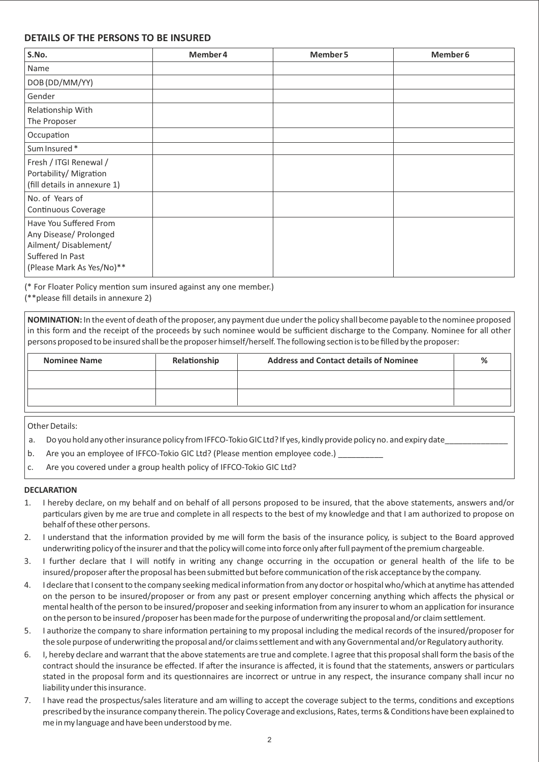## **DETAILS OF THE PERSONS TO BE INSURED**

| S.No.                                                                                                                      | Member 4 | Member 5 | Member 6 |
|----------------------------------------------------------------------------------------------------------------------------|----------|----------|----------|
| Name                                                                                                                       |          |          |          |
| DOB (DD/MM/YY)                                                                                                             |          |          |          |
| Gender                                                                                                                     |          |          |          |
| Relationship With<br>The Proposer                                                                                          |          |          |          |
| Occupation                                                                                                                 |          |          |          |
| Sum Insured*                                                                                                               |          |          |          |
| Fresh / ITGI Renewal /<br>Portability/ Migration<br>(fill details in annexure 1)                                           |          |          |          |
| No. of Years of<br>Continuous Coverage                                                                                     |          |          |          |
| Have You Suffered From<br>Any Disease/ Prolonged<br>Ailment/ Disablement/<br>Suffered In Past<br>(Please Mark As Yes/No)** |          |          |          |

(\* For Floater Policy mention sum insured against any one member.)

(\*\*please fill details in annexure 2)

**NOMINATION:** In the event of death of the proposer, any payment due under the policy shall become payable to the nominee proposed in this form and the receipt of the proceeds by such nominee would be sufficient discharge to the Company. Nominee for all other persons proposed to be insured shall be the proposer himself/herself. The following section is to be filled by the proposer:

| <b>Nominee Name</b> | Relationship | <b>Address and Contact details of Nominee</b> | % |
|---------------------|--------------|-----------------------------------------------|---|
|                     |              |                                               |   |
|                     |              |                                               |   |
|                     |              |                                               |   |

Other Details:

- a. Do you hold any other insurance policy from IFFCO-Tokio GIC Ltd? If yes, kindly provide policy no. and expiry date
- b. Are you an employee of IFFCO-Tokio GIC Ltd? (Please mention employee code.)
- c. Are you covered under a group health policy of IFFCO-Tokio GIC Ltd?

#### **DECLARATION**

- 1. I hereby declare, on my behalf and on behalf of all persons proposed to be insured, that the above statements, answers and/or particulars given by me are true and complete in all respects to the best of my knowledge and that I am authorized to propose on behalf of these other persons.
- 2. I understand that the information provided by me will form the basis of the insurance policy, is subject to the Board approved underwriting policy of the insurer and that the policy will come into force only after full payment of the premium chargeable.
- 3. I further declare that I will notify in writing any change occurring in the occupation or general health of the life to be insured/proposer after the proposal has been submitted but before communication of the risk acceptance by the company.
- 4. I declare that I consent to the company seeking medical information from any doctor or hospital who/which at anytime has attended on the person to be insured/proposer or from any past or present employer concerning anything which affects the physical or mental health of the person to be insured/proposer and seeking information from any insurer to whom an application for insurance on the person to be insured /proposer has been made for the purpose of underwriting the proposal and/or claim settlement.
- 5. I authorize the company to share information pertaining to my proposal including the medical records of the insured/proposer for the sole purpose of underwriting the proposal and/or claims settlement and with any Governmental and/or Regulatory authority.
- 6. I, hereby declare and warrant that the above statements are true and complete. I agree that this proposal shall form the basis of the contract should the insurance be effected. If after the insurance is affected, it is found that the statements, answers or particulars stated in the proposal form and its questionnaires are incorrect or untrue in any respect, the insurance company shall incur no liability under this insurance.
- 7. I have read the prospectus/sales literature and am willing to accept the coverage subject to the terms, conditions and exceptions prescribed by the insurance company therein. The policy Coverage and exclusions, Rates, terms & Conditions have been explained to me in my language and have been understood by me.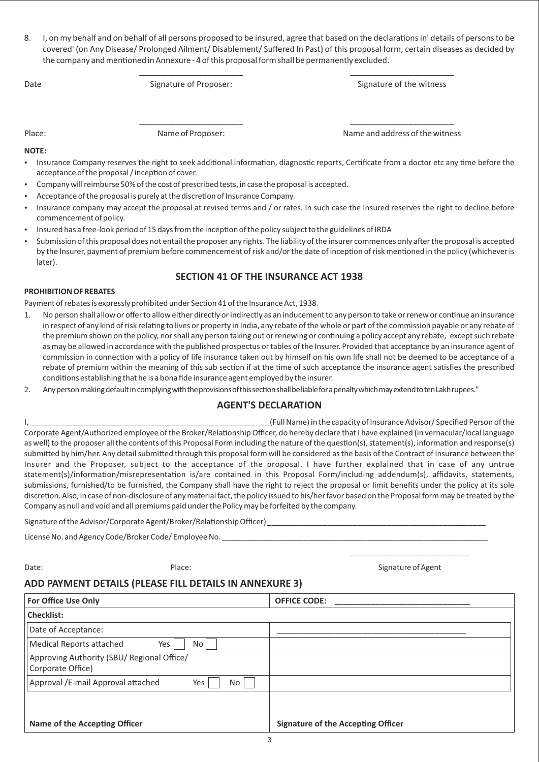8. I, on my behalf and on behalf of all persons proposed to be insured, agree that based on the declarations in' details of persons to be covered' (on Any Disease/ Prolonged Ailment/ Disablement/ Suffered In Past) of this proposal form, certain diseases as decided by the company and mentioned in Annexure - 4 of this proposal form shall be permanently excluded.

\_\_\_\_\_\_\_\_\_\_\_\_\_\_\_\_\_\_\_\_\_\_\_ \_\_\_\_\_\_\_\_\_\_\_\_\_\_\_\_\_\_\_\_\_\_\_

\_\_\_\_\_\_\_\_\_\_\_\_\_\_\_\_\_\_\_\_\_\_\_ \_\_\_\_\_\_\_\_\_\_\_\_\_\_\_\_\_\_\_\_\_\_\_

Date Signature of Proposer: Signature of Proposer: Signature of the witness

Place: Name of Proposer: Name and address of the witness

#### **NOTE:**

- Insurance Company reserves the right to seek additional information, diagnostic reports, Certificate from a doctor etc any time before the acceptance of the proposal / inception of cover.
- Company will reimburse 50% of the cost of prescribed tests, in case the proposal is accepted.
- Acceptance of the proposal is purely at the discretion of Insurance Company.
- Insurance company may accept the proposal at revised terms and / or rates. In such case the Insured reserves the right to decline before commencement of policy.
- Insured has a free-look period of 15 days from the inception of the policy subject to the guidelines of IRDA
- Submission of this proposal does not entail the proposer any rights. The liability of the insurer commences only after the proposal is accepted by the Insurer, payment of premium before commencement of risk and/or the date of inception of risk mentioned in the policy (whichever is later).

## **SECTION 41 OF THE INSURANCE ACT 1938**

#### **PROHIBITION OF REBATES**

Payment of rebates is expressly prohibited under Section 41 of the Insurance Act, 1938.

- 1. No person shall allow or offer to allow either directly or indirectly as an inducement to any person to take or renew or continue an insurance in respect of any kind of risk relating to lives or property in India, any rebate of the whole or part of the commission payable or any rebate of the premium shown on the policy, nor shall any person taking out or renewing or continuing a policy accept any rebate, except such rebate as may be allowed in accordance with the published prospectus or tables of the Insurer. Provided that acceptance by an insurance agent of commission in connection with a policy of life insurance taken out by himself on his own life shall not be deemed to be acceptance of a rebate of premium within the meaning of this sub section if at the time of such acceptance the insurance agent satisfies the prescribed conditions establishing that he is a bona fide insurance agent employed by the insurer.
- 2. Any person making default in complying with the provisions of this section shall be liable for a penalty which may extend to ten Lakhrupees."

## **AGENT'S DECLARATION**

I, \_\_\_\_\_\_\_\_\_\_\_\_\_\_\_\_\_\_\_\_\_\_\_\_\_\_\_\_\_\_\_\_\_\_\_\_\_\_\_\_\_\_\_\_\_\_\_\_\_\_\_\_\_\_\_\_(Full Name) in the capacity of Insurance Advisor/ Specified Person of the Corporate Agent/Authorized employee of the Broker/Relationship Officer, do hereby declare that I have explained (in vernacular/local language as well) to the proposer all the contents of this Proposal Form including the nature of the question(s), statement(s), information and response(s) submitted by him/her. Any detail submitted through this proposal form will be considered as the basis of the Contract of Insurance between the Insurer and the Proposer, subject to the acceptance of the proposal. I have further explained that in case of any untrue statement(s)/information/misrepresentation is/are contained in this Proposal Form/including addendum(s), affidavits, statements, submissions, furnished/to be furnished, the Company shall have the right to reject the proposal or limit benefits under the policy at its sole discretion. Also, in case of non-disclosure of any material fact, the policy issued to his/her favor based on the Proposal form may be treated by the Company as null and void and all premiums paid under the Policy may be forfeited by the company.

Signature of the Advisor/Corporate Agent/Broker/Relationship Officer) \_\_

License No. and Agency Code/Broker Code/ Employee No.

\_\_\_\_\_\_\_\_\_\_\_\_\_\_\_\_\_\_\_\_\_\_\_\_\_\_\_\_ Date: Cases and Contract Place: Place: Place: Signature of Agent Contract Place: Signature of Agent Contract Place:

## **ADD PAYMENT DETAILS (PLEASE FILL DETAILS IN ANNEXURE 3)**

| <b>For Office Use Only</b>                                      | <b>OFFICE CODE:</b>                       |
|-----------------------------------------------------------------|-------------------------------------------|
| <b>Checklist:</b>                                               |                                           |
| Date of Acceptance:                                             |                                           |
| <b>Medical Reports attached</b><br>Yes<br>No.                   |                                           |
| Approving Authority (SBU/ Regional Office/<br>Corporate Office) |                                           |
| Approval /E-mail Approval attached<br>Yes<br>No                 |                                           |
|                                                                 |                                           |
|                                                                 |                                           |
| Name of the Accepting Officer                                   | <b>Signature of the Accepting Officer</b> |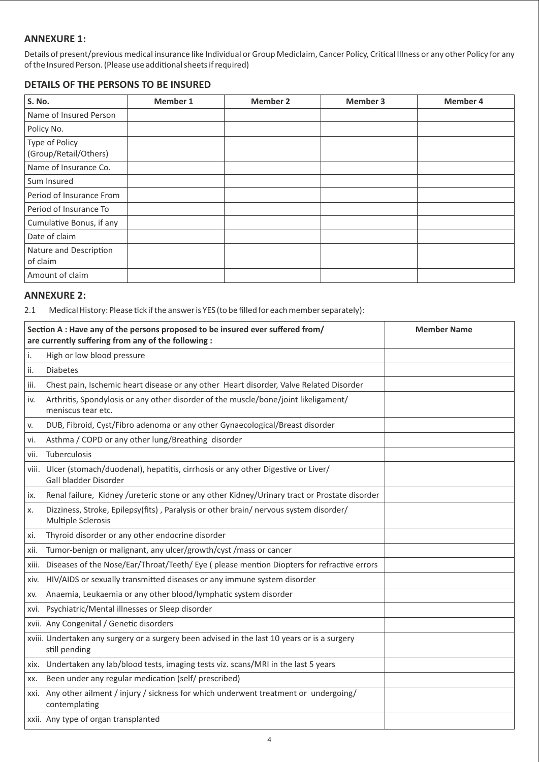## **ANNEXURE 1:**

Details of present/previous medical insurance like Individual or Group Mediclaim, Cancer Policy, Critical Illness or any other Policy for any of the Insured Person. (Please use additional sheets if required)

# **DETAILS OF THE PERSONS TO BE INSURED**

| S. No.                                  | <b>Member 1</b> | <b>Member 2</b> | <b>Member 3</b> | <b>Member 4</b> |
|-----------------------------------------|-----------------|-----------------|-----------------|-----------------|
| Name of Insured Person                  |                 |                 |                 |                 |
| Policy No.                              |                 |                 |                 |                 |
| Type of Policy<br>(Group/Retail/Others) |                 |                 |                 |                 |
| Name of Insurance Co.                   |                 |                 |                 |                 |
| Sum Insured                             |                 |                 |                 |                 |
| Period of Insurance From                |                 |                 |                 |                 |
| Period of Insurance To                  |                 |                 |                 |                 |
| Cumulative Bonus, if any                |                 |                 |                 |                 |
| Date of claim                           |                 |                 |                 |                 |
| Nature and Description<br>of claim      |                 |                 |                 |                 |
| Amount of claim                         |                 |                 |                 |                 |

# **ANNEXURE 2:**

2.1 Medical History: Please tick if the answer is YES (to be filled for each member separately):

|               | Section A : Have any of the persons proposed to be insured ever suffered from/<br>are currently suffering from any of the following : | <b>Member Name</b> |
|---------------|---------------------------------------------------------------------------------------------------------------------------------------|--------------------|
| $\mathsf{i}.$ | High or low blood pressure                                                                                                            |                    |
| ii.           | <b>Diabetes</b>                                                                                                                       |                    |
| iii.          | Chest pain, Ischemic heart disease or any other Heart disorder, Valve Related Disorder                                                |                    |
| iv.           | Arthritis, Spondylosis or any other disorder of the muscle/bone/joint likeligament/<br>meniscus tear etc.                             |                    |
| V.            | DUB, Fibroid, Cyst/Fibro adenoma or any other Gynaecological/Breast disorder                                                          |                    |
| vi.           | Asthma / COPD or any other lung/Breathing disorder                                                                                    |                    |
| vii.          | Tuberculosis                                                                                                                          |                    |
|               | viii. Ulcer (stomach/duodenal), hepatitis, cirrhosis or any other Digestive or Liver/<br>Gall bladder Disorder                        |                    |
| ix.           | Renal failure, Kidney /ureteric stone or any other Kidney/Urinary tract or Prostate disorder                                          |                    |
| х.            | Dizziness, Stroke, Epilepsy(fits), Paralysis or other brain/ nervous system disorder/<br>Multiple Sclerosis                           |                    |
| xi.           | Thyroid disorder or any other endocrine disorder                                                                                      |                    |
| xii.          | Tumor-benign or malignant, any ulcer/growth/cyst / mass or cancer                                                                     |                    |
|               | xiii. Diseases of the Nose/Ear/Throat/Teeth/ Eye (please mention Diopters for refractive errors                                       |                    |
| xiv.          | HIV/AIDS or sexually transmitted diseases or any immune system disorder                                                               |                    |
| XV.           | Anaemia, Leukaemia or any other blood/lymphatic system disorder                                                                       |                    |
|               | xvi. Psychiatric/Mental illnesses or Sleep disorder                                                                                   |                    |
|               | xvii. Any Congenital / Genetic disorders                                                                                              |                    |
|               | xviii. Undertaken any surgery or a surgery been advised in the last 10 years or is a surgery<br>still pending                         |                    |
|               | xix. Undertaken any lab/blood tests, imaging tests viz. scans/MRI in the last 5 years                                                 |                    |
| XX.           | Been under any regular medication (self/ prescribed)                                                                                  |                    |
|               | xxi. Any other ailment / injury / sickness for which underwent treatment or undergoing/<br>contemplating                              |                    |
|               | xxii. Any type of organ transplanted                                                                                                  |                    |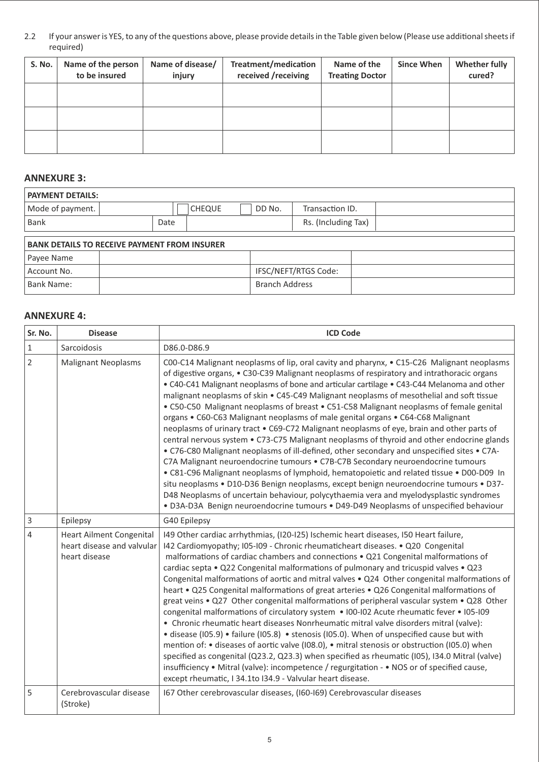2.2 If your answer is YES, to any of the questions above, please provide details in the Table given below (Please use additional sheets if required)

| <b>S. No.</b> | Name of the person<br>to be insured | Name of disease/<br>injury | Treatment/medication<br>received /receiving | Name of the<br><b>Treating Doctor</b> | <b>Since When</b> | <b>Whether fully</b><br>cured? |
|---------------|-------------------------------------|----------------------------|---------------------------------------------|---------------------------------------|-------------------|--------------------------------|
|               |                                     |                            |                                             |                                       |                   |                                |
|               |                                     |                            |                                             |                                       |                   |                                |
|               |                                     |                            |                                             |                                       |                   |                                |

## **ANNEXURE 3:**

| <b>PAYMENT DETAILS:</b> |                                                     |               |                       |                      |  |  |
|-------------------------|-----------------------------------------------------|---------------|-----------------------|----------------------|--|--|
| Mode of payment.        |                                                     | <b>CHEQUE</b> | DD No.                | Transaction ID.      |  |  |
| <b>Bank</b>             | Date                                                |               |                       | Rs. (Including Tax)  |  |  |
|                         | <b>BANK DETAILS TO RECEIVE PAYMENT FROM INSURER</b> |               |                       |                      |  |  |
| Payee Name              |                                                     |               |                       |                      |  |  |
| Account No.             |                                                     |               |                       | IFSC/NEFT/RTGS Code: |  |  |
| <b>Bank Name:</b>       |                                                     |               | <b>Branch Address</b> |                      |  |  |

## **ANNEXURE 4:**

| Sr. No.        | <b>Disease</b>                                                                 | <b>ICD Code</b>                                                                                                                                                                                                                                                                                                                                                                                                                                                                                                                                                                                                                                                                                                                                                                                                                                                                                                                                                                                                                                                                                                                                                                                                                                                                                                      |
|----------------|--------------------------------------------------------------------------------|----------------------------------------------------------------------------------------------------------------------------------------------------------------------------------------------------------------------------------------------------------------------------------------------------------------------------------------------------------------------------------------------------------------------------------------------------------------------------------------------------------------------------------------------------------------------------------------------------------------------------------------------------------------------------------------------------------------------------------------------------------------------------------------------------------------------------------------------------------------------------------------------------------------------------------------------------------------------------------------------------------------------------------------------------------------------------------------------------------------------------------------------------------------------------------------------------------------------------------------------------------------------------------------------------------------------|
| $\,1\,$        | Sarcoidosis                                                                    | D86.0-D86.9                                                                                                                                                                                                                                                                                                                                                                                                                                                                                                                                                                                                                                                                                                                                                                                                                                                                                                                                                                                                                                                                                                                                                                                                                                                                                                          |
| $\overline{2}$ | <b>Malignant Neoplasms</b>                                                     | COO-C14 Malignant neoplasms of lip, oral cavity and pharynx, • C15-C26 Malignant neoplasms<br>of digestive organs, • C30-C39 Malignant neoplasms of respiratory and intrathoracic organs<br>• C40-C41 Malignant neoplasms of bone and articular cartilage • C43-C44 Melanoma and other<br>malignant neoplasms of skin • C45-C49 Malignant neoplasms of mesothelial and soft tissue<br>• C50-C50 Malignant neoplasms of breast • C51-C58 Malignant neoplasms of female genital<br>organs . C60-C63 Malignant neoplasms of male genital organs . C64-C68 Malignant<br>neoplasms of urinary tract . C69-C72 Malignant neoplasms of eye, brain and other parts of<br>central nervous system • C73-C75 Malignant neoplasms of thyroid and other endocrine glands<br>• C76-C80 Malignant neoplasms of ill-defined, other secondary and unspecified sites • C7A-<br>C7A Malignant neuroendocrine tumours • C7B-C7B Secondary neuroendocrine tumours<br>. C81-C96 Malignant neoplasms of lymphoid, hematopoietic and related tissue . D00-D09 In<br>situ neoplasms · D10-D36 Benign neoplasms, except benign neuroendocrine tumours · D37-<br>D48 Neoplasms of uncertain behaviour, polycythaemia vera and myelodysplastic syndromes<br>· D3A-D3A Benign neuroendocrine tumours · D49-D49 Neoplasms of unspecified behaviour |
| $\overline{3}$ | Epilepsy                                                                       | G40 Epilepsy                                                                                                                                                                                                                                                                                                                                                                                                                                                                                                                                                                                                                                                                                                                                                                                                                                                                                                                                                                                                                                                                                                                                                                                                                                                                                                         |
| $\overline{4}$ | <b>Heart Ailment Congenital</b><br>heart disease and valvular<br>heart disease | I49 Other cardiac arrhythmias, (I20-I25) Ischemic heart diseases, I50 Heart failure,<br>I42 Cardiomyopathy; I05-I09 - Chronic rheumaticheart diseases. • Q20 Congenital<br>malformations of cardiac chambers and connections . Q21 Congenital malformations of<br>cardiac septa • Q22 Congenital malformations of pulmonary and tricuspid valves • Q23<br>Congenital malformations of aortic and mitral valves . Q24 Other congenital malformations of<br>heart • Q25 Congenital malformations of great arteries • Q26 Congenital malformations of<br>great veins • Q27 Other congenital malformations of peripheral vascular system • Q28 Other<br>congenital malformations of circulatory system • I00-I02 Acute rheumatic fever • I05-I09<br>• Chronic rheumatic heart diseases Nonrheumatic mitral valve disorders mitral (valve):<br>· disease (I05.9) · failure (I05.8) · stenosis (I05.0). When of unspecified cause but with<br>mention of: • diseases of aortic valve (I08.0), • mitral stenosis or obstruction (I05.0) when<br>specified as congenital (Q23.2, Q23.3) when specified as rheumatic (I05), I34.0 Mitral (valve)<br>insufficiency • Mitral (valve): incompetence / regurgitation - • NOS or of specified cause,<br>except rheumatic, I 34.1to I34.9 - Valvular heart disease.                 |
| 5              | Cerebrovascular disease<br>(Stroke)                                            | 167 Other cerebrovascular diseases, (160-169) Cerebrovascular diseases                                                                                                                                                                                                                                                                                                                                                                                                                                                                                                                                                                                                                                                                                                                                                                                                                                                                                                                                                                                                                                                                                                                                                                                                                                               |